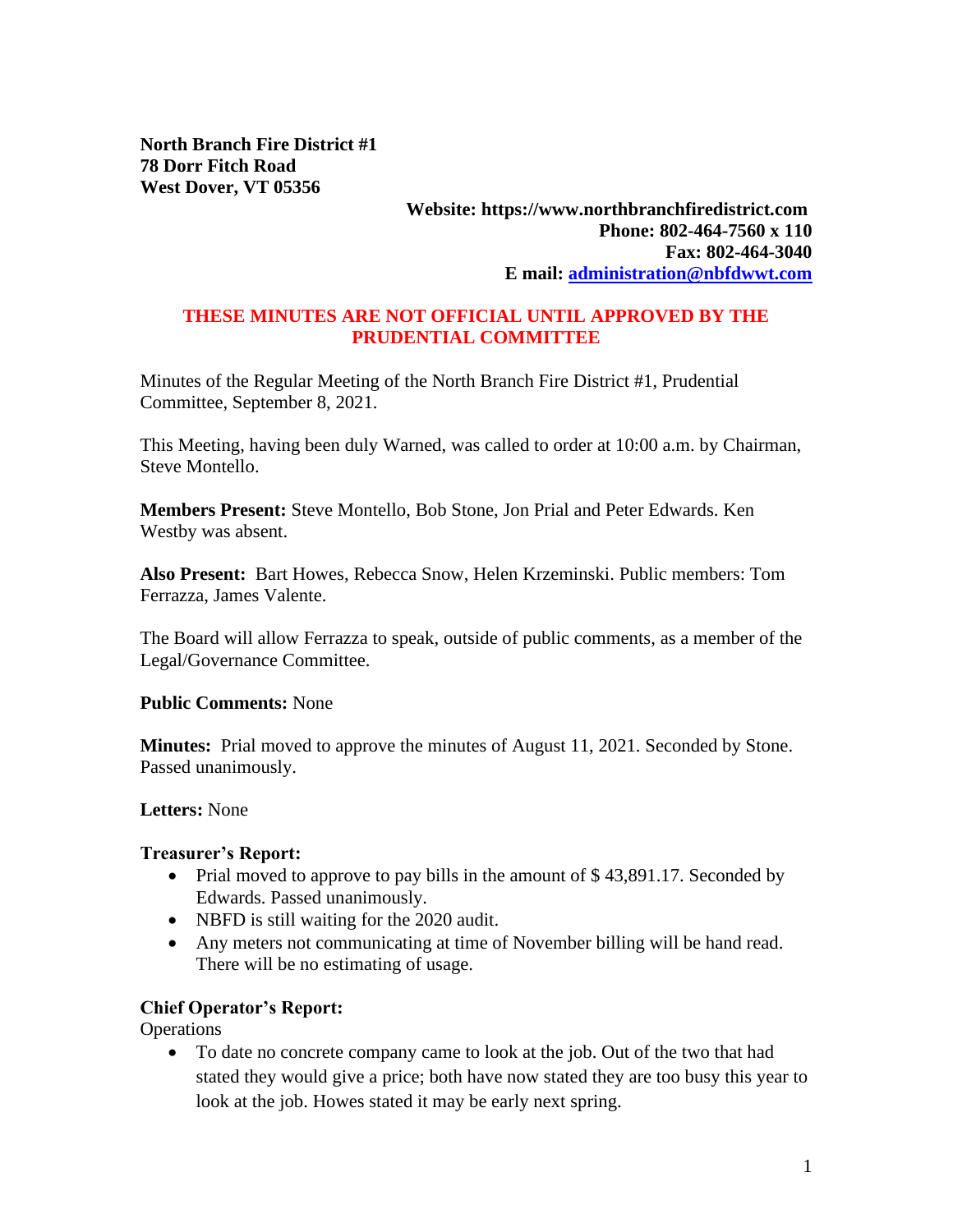**North Branch Fire District #1 78 Dorr Fitch Road West Dover, VT 05356**

## **Website: https://www.northbranchfiredistrict.com Phone: 802-464-7560 x 110 Fax: 802-464-3040 E mail: [administration@nbfdwwt.com](mailto:administration@nbfdwwt.com)**

## **THESE MINUTES ARE NOT OFFICIAL UNTIL APPROVED BY THE PRUDENTIAL COMMITTEE**

Minutes of the Regular Meeting of the North Branch Fire District #1, Prudential Committee, September 8, 2021.

This Meeting, having been duly Warned, was called to order at 10:00 a.m. by Chairman, Steve Montello.

**Members Present:** Steve Montello, Bob Stone, Jon Prial and Peter Edwards. Ken Westby was absent.

**Also Present:** Bart Howes, Rebecca Snow, Helen Krzeminski. Public members: Tom Ferrazza, James Valente.

The Board will allow Ferrazza to speak, outside of public comments, as a member of the Legal/Governance Committee.

### **Public Comments:** None

**Minutes:** Prial moved to approve the minutes of August 11, 2021. Seconded by Stone. Passed unanimously.

### **Letters:** None

#### **Treasurer's Report:**

- Prial moved to approve to pay bills in the amount of \$43,891.17. Seconded by Edwards. Passed unanimously.
- NBFD is still waiting for the 2020 audit.
- Any meters not communicating at time of November billing will be hand read. There will be no estimating of usage.

### **Chief Operator's Report:**

**Operations** 

• To date no concrete company came to look at the job. Out of the two that had stated they would give a price; both have now stated they are too busy this year to look at the job. Howes stated it may be early next spring.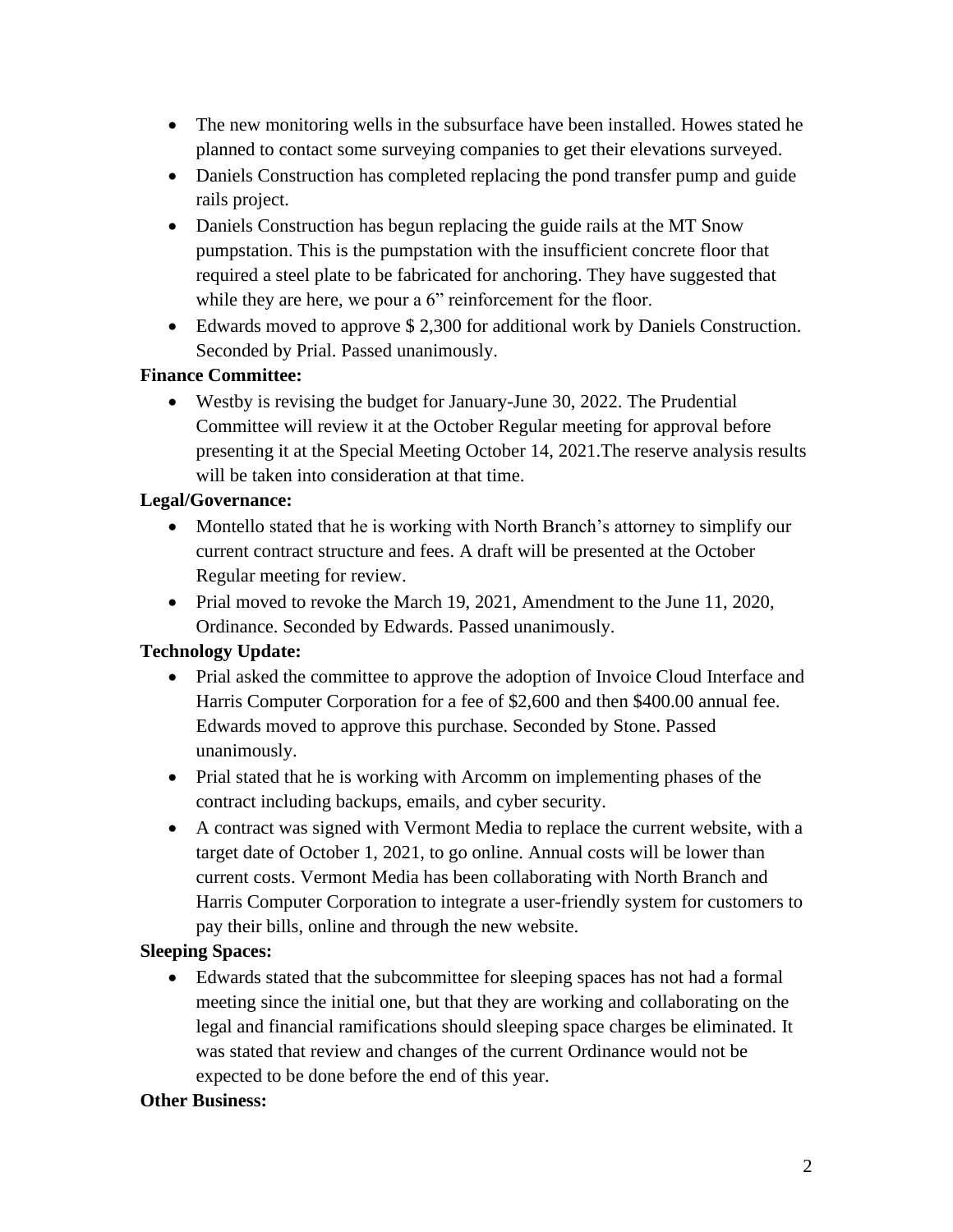- The new monitoring wells in the subsurface have been installed. Howes stated he planned to contact some surveying companies to get their elevations surveyed.
- Daniels Construction has completed replacing the pond transfer pump and guide rails project.
- Daniels Construction has begun replacing the guide rails at the MT Snow pumpstation. This is the pumpstation with the insufficient concrete floor that required a steel plate to be fabricated for anchoring. They have suggested that while they are here, we pour a 6" reinforcement for the floor.
- Edwards moved to approve \$ 2,300 for additional work by Daniels Construction. Seconded by Prial. Passed unanimously.

# **Finance Committee:**

• Westby is revising the budget for January-June 30, 2022. The Prudential Committee will review it at the October Regular meeting for approval before presenting it at the Special Meeting October 14, 2021.The reserve analysis results will be taken into consideration at that time.

# **Legal/Governance:**

- Montello stated that he is working with North Branch's attorney to simplify our current contract structure and fees. A draft will be presented at the October Regular meeting for review.
- Prial moved to revoke the March 19, 2021, Amendment to the June 11, 2020, Ordinance. Seconded by Edwards. Passed unanimously.

# **Technology Update:**

- Prial asked the committee to approve the adoption of Invoice Cloud Interface and Harris Computer Corporation for a fee of \$2,600 and then \$400.00 annual fee. Edwards moved to approve this purchase. Seconded by Stone. Passed unanimously.
- Prial stated that he is working with Arcomm on implementing phases of the contract including backups, emails, and cyber security.
- A contract was signed with Vermont Media to replace the current website, with a target date of October 1, 2021, to go online. Annual costs will be lower than current costs. Vermont Media has been collaborating with North Branch and Harris Computer Corporation to integrate a user-friendly system for customers to pay their bills, online and through the new website.

# **Sleeping Spaces:**

• Edwards stated that the subcommittee for sleeping spaces has not had a formal meeting since the initial one, but that they are working and collaborating on the legal and financial ramifications should sleeping space charges be eliminated. It was stated that review and changes of the current Ordinance would not be expected to be done before the end of this year.

# **Other Business:**